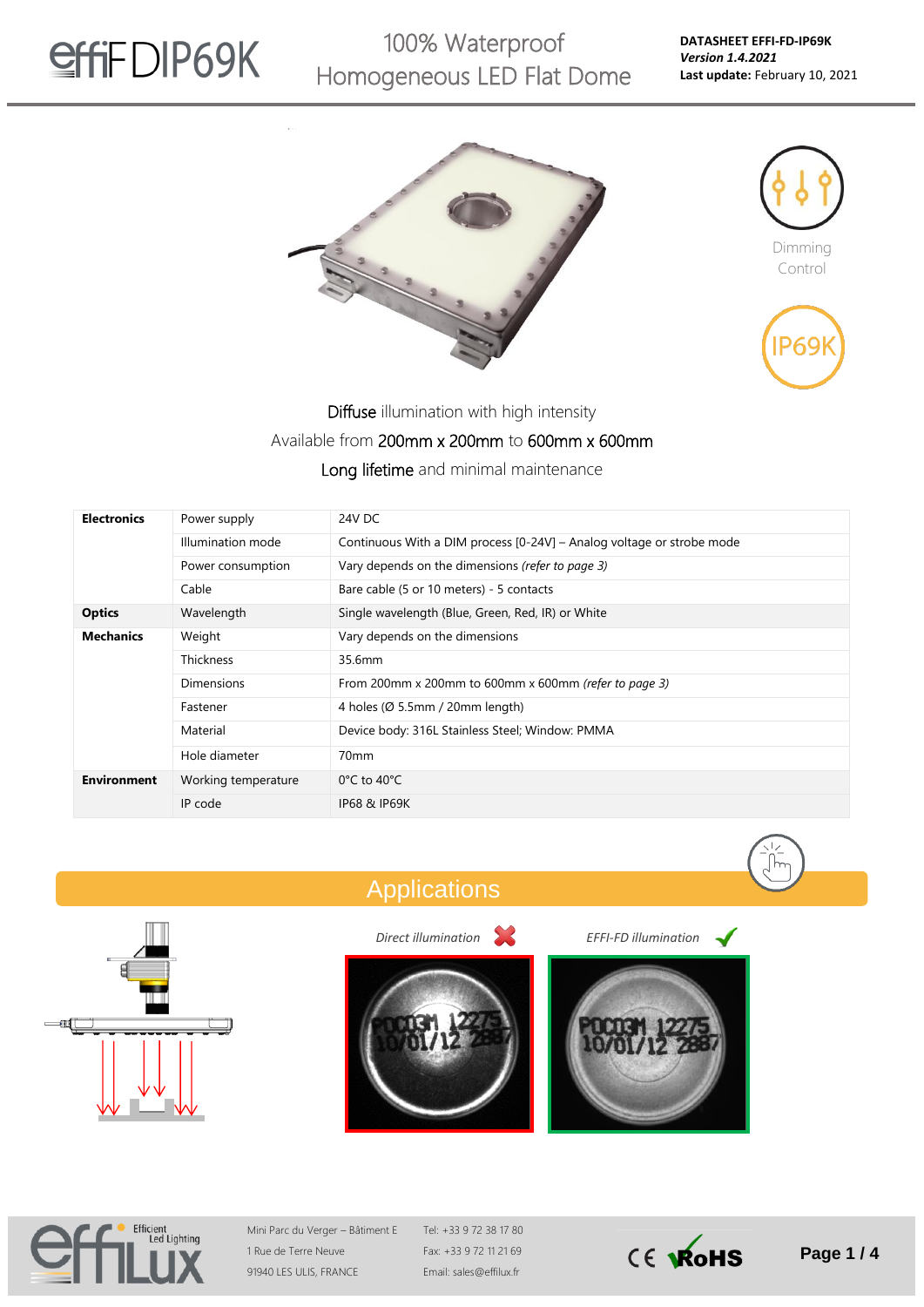

100% Waterproof Homogeneous LED Flat Dome







Diffuse illumination with high intensity

#### Available from 200mm x 200mm to 600mm x 600mm

Long lifetime and minimal maintenance

| <b>Electronics</b> | Power supply        | 24V DC                                                                |  |  |  |  |
|--------------------|---------------------|-----------------------------------------------------------------------|--|--|--|--|
|                    | Illumination mode   | Continuous With a DIM process [0-24V] - Analog voltage or strobe mode |  |  |  |  |
|                    | Power consumption   | Vary depends on the dimensions (refer to page 3)                      |  |  |  |  |
|                    | Cable               | Bare cable (5 or 10 meters) - 5 contacts                              |  |  |  |  |
| <b>Optics</b>      | Wavelength          | Single wavelength (Blue, Green, Red, IR) or White                     |  |  |  |  |
| <b>Mechanics</b>   | Weight              | Vary depends on the dimensions                                        |  |  |  |  |
|                    | <b>Thickness</b>    | 35.6mm                                                                |  |  |  |  |
|                    | <b>Dimensions</b>   | From 200mm x 200mm to 600mm x 600mm (refer to page 3)                 |  |  |  |  |
|                    | Fastener            | 4 holes (Ø 5.5mm / 20mm length)                                       |  |  |  |  |
|                    | Material            | Device body: 316L Stainless Steel; Window: PMMA                       |  |  |  |  |
|                    | Hole diameter       | 70 <sub>mm</sub>                                                      |  |  |  |  |
| <b>Environment</b> | Working temperature | $0^{\circ}$ C to 40 $^{\circ}$ C                                      |  |  |  |  |
|                    | IP code             | <b>IP68 &amp; IP69K</b>                                               |  |  |  |  |











*Direct illumination EFFI-FD illumination*





Mini Parc du Verger – Bâtiment E 1 Rue de Terre Neuve 91940 LES ULIS, FRANCE

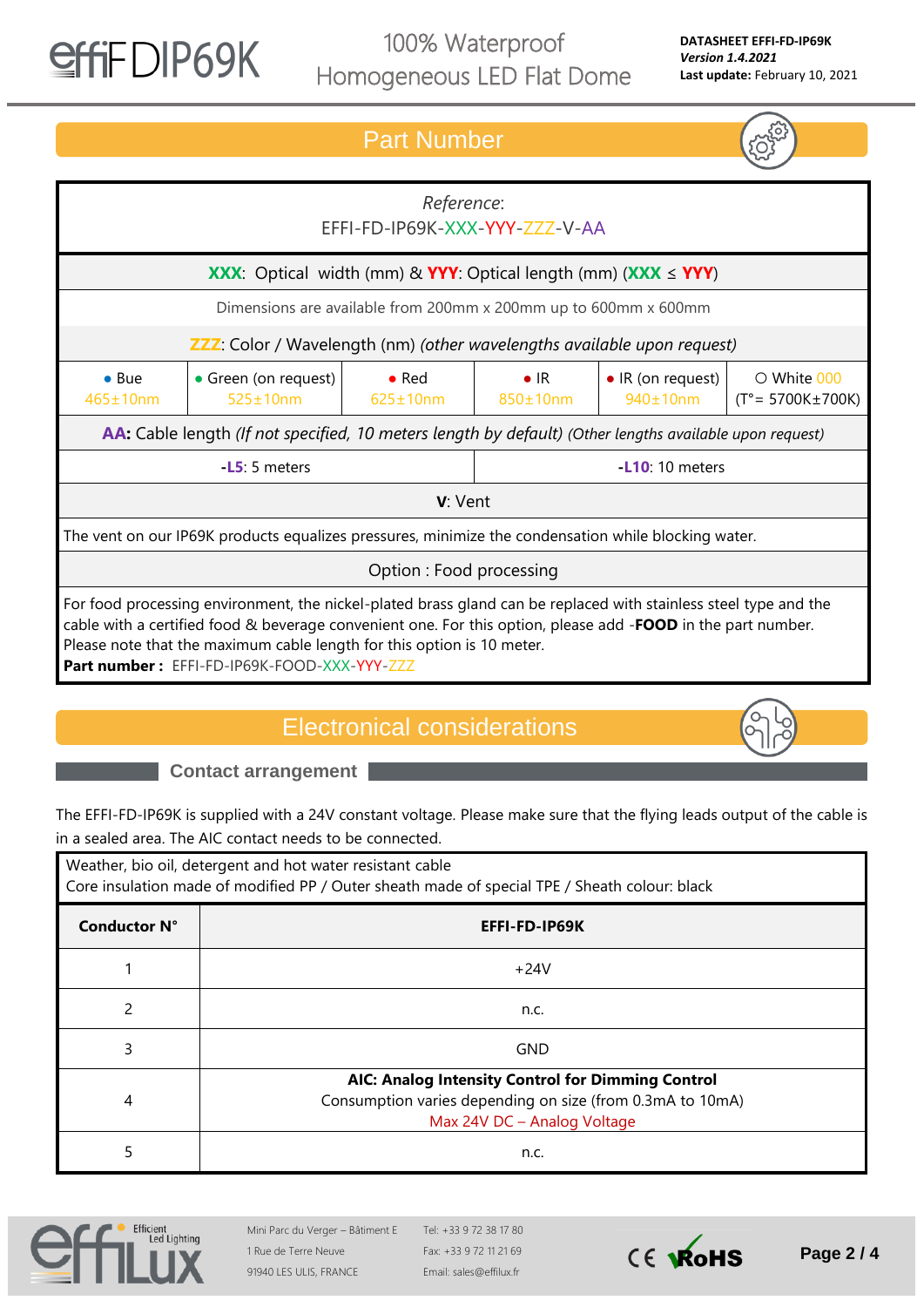

● Bue 465±10nm

100% Waterproof Homogeneous LED Flat Dome

#### *Reference*: EFFI-FD-IP69K-XXX-YYY-ZZZ-V-AA **XXX**: Optical width (mm) & **YYY**: Optical length (mm) (**XXX** ≤ **YYY**) Dimensions are available from 200mm x 200mm up to 600mm x 600mm **ZZZ**: Color / Wavelength (nm) *(other wavelengths available upon request)* • Green (on request) 525±10nm ● Red 625±10nm ● IR 850±10nm • IR (on request) 940±10nm ○ White 000 (T°= 5700K±700K) **AA:** Cable length *(If not specified, 10 meters length by default) (Other lengths available upon request)* **-L5**: 5 meters **-L10**: 10 meters Part Number

The vent on our IP69K products equalizes pressures, minimize the condensation while blocking water.

Option : Food processing

**V**: Vent

For food processing environment, the nickel-plated brass gland can be replaced with stainless steel type and the cable with a certified food & beverage convenient one. For this option, please add -**FOOD** in the part number. Please note that the maximum cable length for this option is 10 meter. **Part number :** EFFI-FD-IP69K-FOOD-XXX-YYY-ZZZ

### Electronical considerations

**Contact arrangement**

The EFFI-FD-IP69K is supplied with a 24V constant voltage. Please make sure that the flying leads output of the cable is in a sealed area. The AIC contact needs to be connected.

| Weather, bio oil, detergent and hot water resistant cable<br>Core insulation made of modified PP / Outer sheath made of special TPE / Sheath colour: black |                                                                                                                                               |  |  |  |
|------------------------------------------------------------------------------------------------------------------------------------------------------------|-----------------------------------------------------------------------------------------------------------------------------------------------|--|--|--|
| <b>Conductor N°</b>                                                                                                                                        | EFFI-FD-IP69K                                                                                                                                 |  |  |  |
|                                                                                                                                                            | $+24V$                                                                                                                                        |  |  |  |
| $\mathcal{P}$                                                                                                                                              | n.c.                                                                                                                                          |  |  |  |
| 3                                                                                                                                                          | <b>GND</b>                                                                                                                                    |  |  |  |
| 4                                                                                                                                                          | AIC: Analog Intensity Control for Dimming Control<br>Consumption varies depending on size (from 0.3mA to 10mA)<br>Max 24V DC - Analog Voltage |  |  |  |
| 5                                                                                                                                                          | n.c.                                                                                                                                          |  |  |  |



Mini Parc du Verger – Bâtiment E 1 Rue de Terre Neuve 91940 LES ULIS, FRANCE

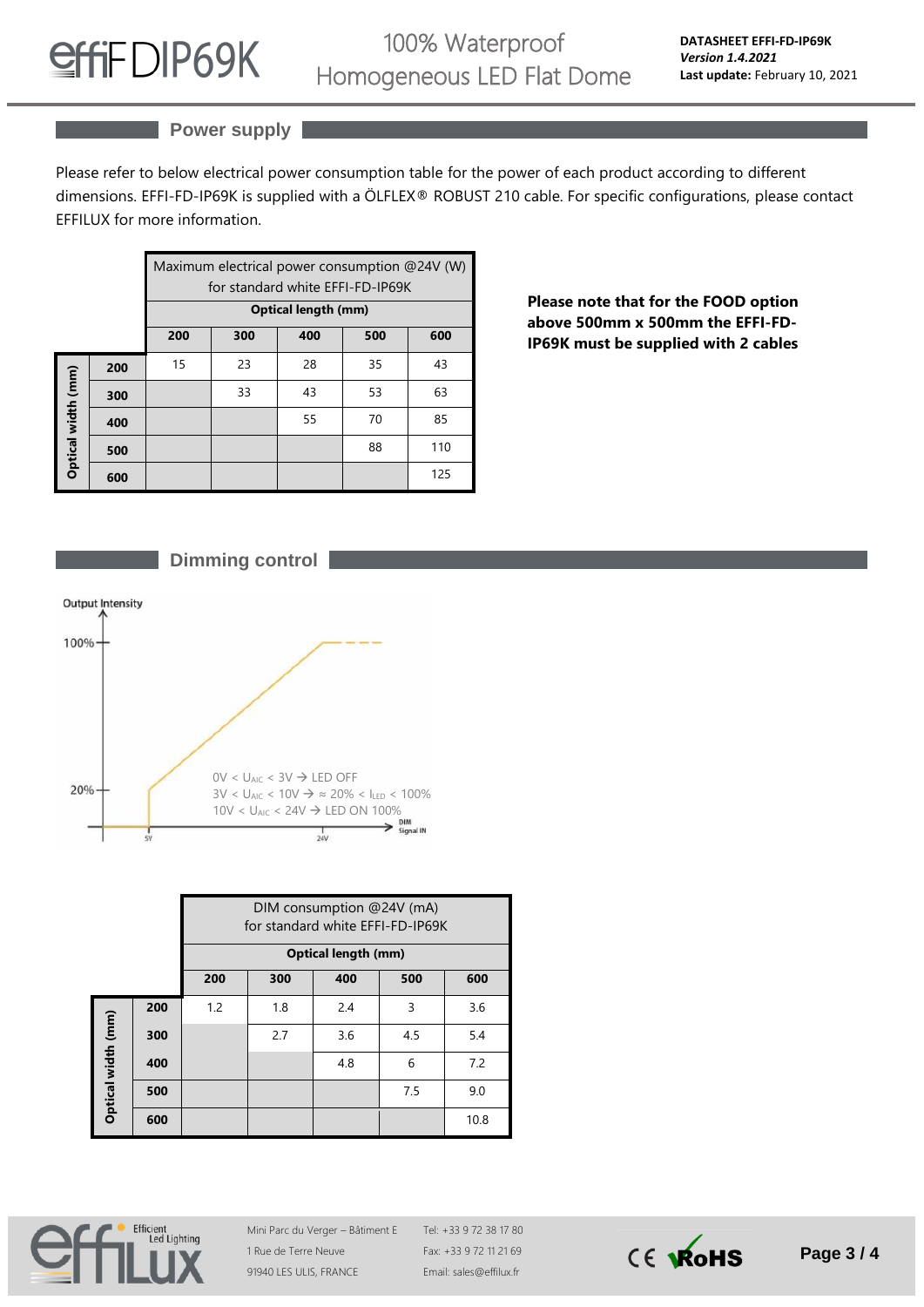

# 100% Waterproof Homogeneous LED Flat Dome

### **Power supply**

Please refer to below electrical power consumption table for the power of each product according to different dimensions. EFFI-FD-IP69K is supplied with a ÖLFLEX® ROBUST 210 cable. For specific configurations, please contact EFFILUX for more information.

|                    |     | Maximum electrical power consumption @24V (W)<br>for standard white EFFI-FD-IP69K<br><b>Optical length (mm)</b> |     |     |     |     |  |
|--------------------|-----|-----------------------------------------------------------------------------------------------------------------|-----|-----|-----|-----|--|
|                    |     | 200                                                                                                             | 300 | 400 | 500 | 600 |  |
| Optical width (mm) | 200 | 15                                                                                                              | 23  | 28  | 35  | 43  |  |
|                    | 300 |                                                                                                                 | 33  | 43  | 53  | 63  |  |
|                    | 400 |                                                                                                                 |     | 55  | 70  | 85  |  |
|                    | 500 |                                                                                                                 |     |     | 88  | 110 |  |
|                    | 600 |                                                                                                                 |     |     |     | 125 |  |

**Please note that for the FOOD option above 500mm x 500mm the EFFI-FD-IP69K must be supplied with 2 cables**





|                    |     | DIM consumption @24V (mA)<br>for standard white EFFI-FD-IP69K<br><b>Optical length (mm)</b> |     |     |     |      |  |
|--------------------|-----|---------------------------------------------------------------------------------------------|-----|-----|-----|------|--|
|                    |     | 200                                                                                         | 300 | 400 | 500 | 600  |  |
| Optical width (mm) | 200 | 1.2                                                                                         | 1.8 | 2.4 | 3   | 3.6  |  |
|                    | 300 |                                                                                             | 2.7 | 3.6 | 4.5 | 5.4  |  |
|                    | 400 |                                                                                             |     | 4.8 | 6   | 7.2  |  |
|                    | 500 |                                                                                             |     |     | 7.5 | 9.0  |  |
|                    | 600 |                                                                                             |     |     |     | 10.8 |  |



Mini Parc du Verger – Bâtiment E 1 Rue de Terre Neuve 91940 LES ULIS, FRANCE